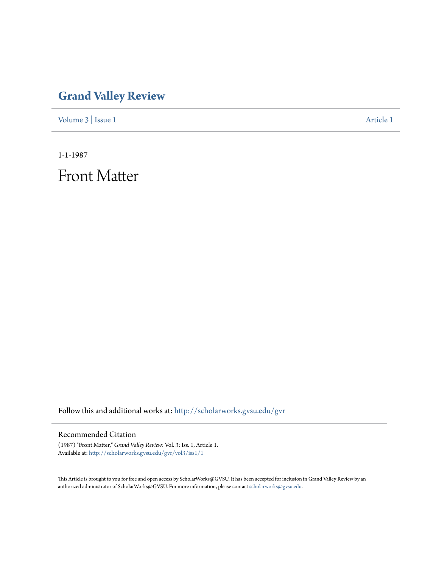## **[Grand Valley Review](http://scholarworks.gvsu.edu/gvr?utm_source=scholarworks.gvsu.edu%2Fgvr%2Fvol3%2Fiss1%2F1&utm_medium=PDF&utm_campaign=PDFCoverPages)**

[Volume 3](http://scholarworks.gvsu.edu/gvr/vol3?utm_source=scholarworks.gvsu.edu%2Fgvr%2Fvol3%2Fiss1%2F1&utm_medium=PDF&utm_campaign=PDFCoverPages) | [Issue 1](http://scholarworks.gvsu.edu/gvr/vol3/iss1?utm_source=scholarworks.gvsu.edu%2Fgvr%2Fvol3%2Fiss1%2F1&utm_medium=PDF&utm_campaign=PDFCoverPages) [Article 1](http://scholarworks.gvsu.edu/gvr/vol3/iss1/1?utm_source=scholarworks.gvsu.edu%2Fgvr%2Fvol3%2Fiss1%2F1&utm_medium=PDF&utm_campaign=PDFCoverPages)

1-1-1987

Front Matter

Follow this and additional works at: [http://scholarworks.gvsu.edu/gvr](http://scholarworks.gvsu.edu/gvr?utm_source=scholarworks.gvsu.edu%2Fgvr%2Fvol3%2Fiss1%2F1&utm_medium=PDF&utm_campaign=PDFCoverPages)

## Recommended Citation

(1987) "Front Matter," *Grand Valley Review*: Vol. 3: Iss. 1, Article 1. Available at: [http://scholarworks.gvsu.edu/gvr/vol3/iss1/1](http://scholarworks.gvsu.edu/gvr/vol3/iss1/1?utm_source=scholarworks.gvsu.edu%2Fgvr%2Fvol3%2Fiss1%2F1&utm_medium=PDF&utm_campaign=PDFCoverPages)

This Article is brought to you for free and open access by ScholarWorks@GVSU. It has been accepted for inclusion in Grand Valley Review by an authorized administrator of ScholarWorks@GVSU. For more information, please contact [scholarworks@gvsu.edu.](mailto:scholarworks@gvsu.edu)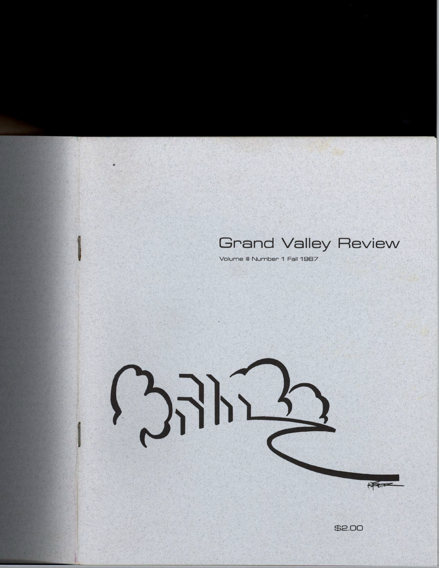## **Grand Valley Review**

Volume III Number 1 Fall 1987